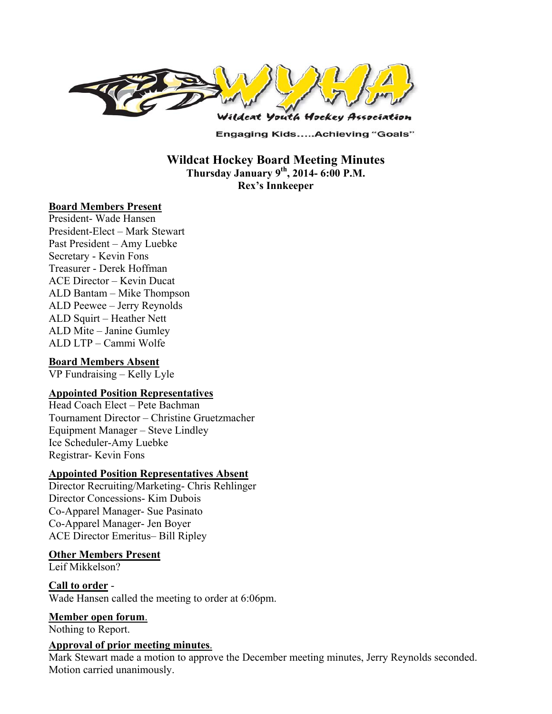

**Engaging Kids.....Achieving "Goals"** 

**Wildcat Hockey Board Meeting Minutes Thursday January 9th, 2014- 6:00 P.M. Rex's Innkeeper** 

### **Board Members Present**

President- Wade Hansen President-Elect – Mark Stewart Past President – Amy Luebke Secretary - Kevin Fons Treasurer - Derek Hoffman ACE Director – Kevin Ducat ALD Bantam – Mike Thompson ALD Peewee – Jerry Reynolds ALD Squirt – Heather Nett ALD Mite – Janine Gumley ALD LTP – Cammi Wolfe

## **Board Members Absent**

VP Fundraising – Kelly Lyle

## **Appointed Position Representatives**

Head Coach Elect – Pete Bachman Tournament Director – Christine Gruetzmacher Equipment Manager – Steve Lindley Ice Scheduler-Amy Luebke Registrar- Kevin Fons

### **Appointed Position Representatives Absent**

Director Recruiting/Marketing- Chris Rehlinger Director Concessions- Kim Dubois Co-Apparel Manager- Sue Pasinato Co-Apparel Manager- Jen Boyer ACE Director Emeritus– Bill Ripley

### **Other Members Present**

Leif Mikkelson?

**Call to order** - Wade Hansen called the meeting to order at 6:06pm.

# **Member open forum**.

Nothing to Report.

### **Approval of prior meeting minutes**.

Mark Stewart made a motion to approve the December meeting minutes, Jerry Reynolds seconded. Motion carried unanimously.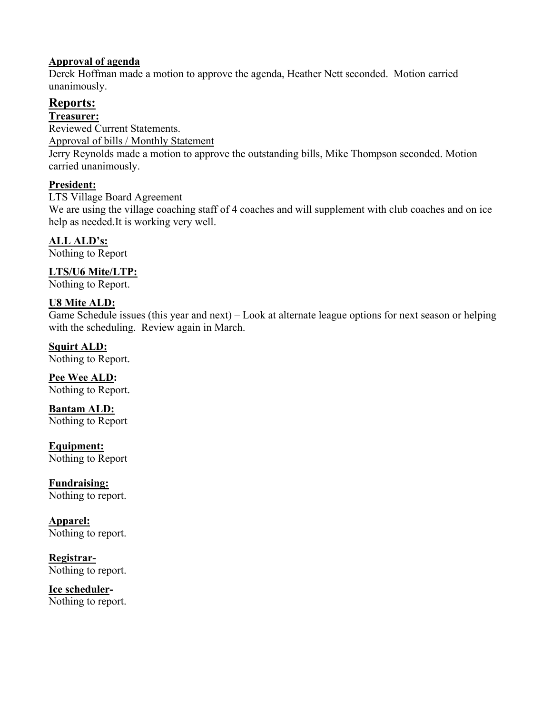## **Approval of agenda**

Derek Hoffman made a motion to approve the agenda, Heather Nett seconded. Motion carried unanimously.

# **Reports:**

## **Treasurer:**

Reviewed Current Statements. Approval of bills / Monthly Statement

Jerry Reynolds made a motion to approve the outstanding bills, Mike Thompson seconded. Motion carried unanimously.

# **President:**

LTS Village Board Agreement

We are using the village coaching staff of 4 coaches and will supplement with club coaches and on ice help as needed.It is working very well.

# **ALL ALD's:**

Nothing to Report

# **LTS/U6 Mite/LTP:**

Nothing to Report.

# **U8 Mite ALD:**

Game Schedule issues (this year and next) – Look at alternate league options for next season or helping with the scheduling. Review again in March.

## **Squirt ALD:**

Nothing to Report.

**Pee Wee ALD:**  Nothing to Report.

**Bantam ALD:**  Nothing to Report

**Equipment:**  Nothing to Report

**Fundraising:**  Nothing to report.

**Apparel:**  Nothing to report.

**Registrar-**Nothing to report.

**Ice scheduler-**Nothing to report.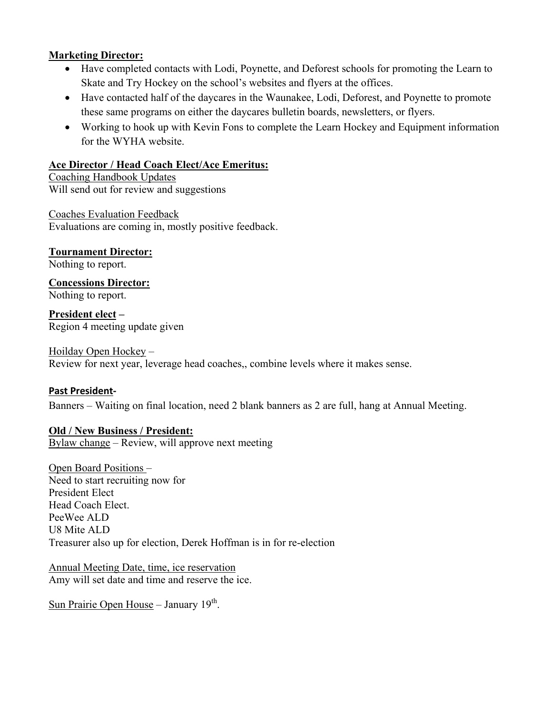### **Marketing Director:**

- Have completed contacts with Lodi, Poynette, and Deforest schools for promoting the Learn to Skate and Try Hockey on the school's websites and flyers at the offices.
- Have contacted half of the daycares in the Waunakee, Lodi, Deforest, and Poynette to promote these same programs on either the daycares bulletin boards, newsletters, or flyers.
- Working to hook up with Kevin Fons to complete the Learn Hockey and Equipment information for the WYHA website.

### **Ace Director / Head Coach Elect/Ace Emeritus:**

Coaching Handbook Updates Will send out for review and suggestions

Coaches Evaluation Feedback Evaluations are coming in, mostly positive feedback.

**Tournament Director:** Nothing to report.

**Concessions Director:** Nothing to report.

**President elect –** Region 4 meeting update given

### Hoilday Open Hockey –

Review for next year, leverage head coaches,, combine levels where it makes sense.

## **Past President‐**

Banners – Waiting on final location, need 2 blank banners as 2 are full, hang at Annual Meeting.

### **Old / New Business / President:**

Bylaw change – Review, will approve next meeting

Open Board Positions – Need to start recruiting now for President Elect Head Coach Elect. PeeWee ALD U8 Mite ALD Treasurer also up for election, Derek Hoffman is in for re-election

Annual Meeting Date, time, ice reservation Amy will set date and time and reserve the ice.

Sun Prairie Open House – January  $19<sup>th</sup>$ .